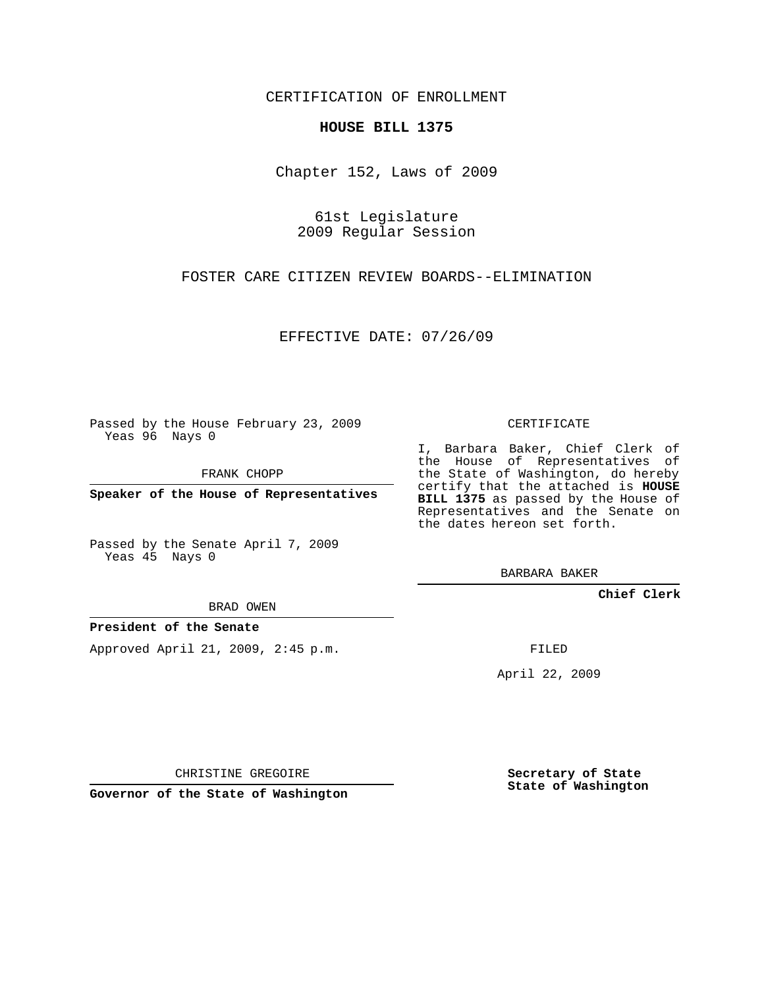CERTIFICATION OF ENROLLMENT

## **HOUSE BILL 1375**

Chapter 152, Laws of 2009

61st Legislature 2009 Regular Session

FOSTER CARE CITIZEN REVIEW BOARDS--ELIMINATION

EFFECTIVE DATE: 07/26/09

Passed by the House February 23, 2009 Yeas 96 Nays 0

FRANK CHOPP

**Speaker of the House of Representatives**

Passed by the Senate April 7, 2009 Yeas 45 Nays 0

BRAD OWEN

## **President of the Senate**

Approved April 21, 2009, 2:45 p.m.

CERTIFICATE

I, Barbara Baker, Chief Clerk of the House of Representatives of the State of Washington, do hereby certify that the attached is **HOUSE BILL 1375** as passed by the House of Representatives and the Senate on the dates hereon set forth.

BARBARA BAKER

**Chief Clerk**

FILED

April 22, 2009

CHRISTINE GREGOIRE

**Governor of the State of Washington**

**Secretary of State State of Washington**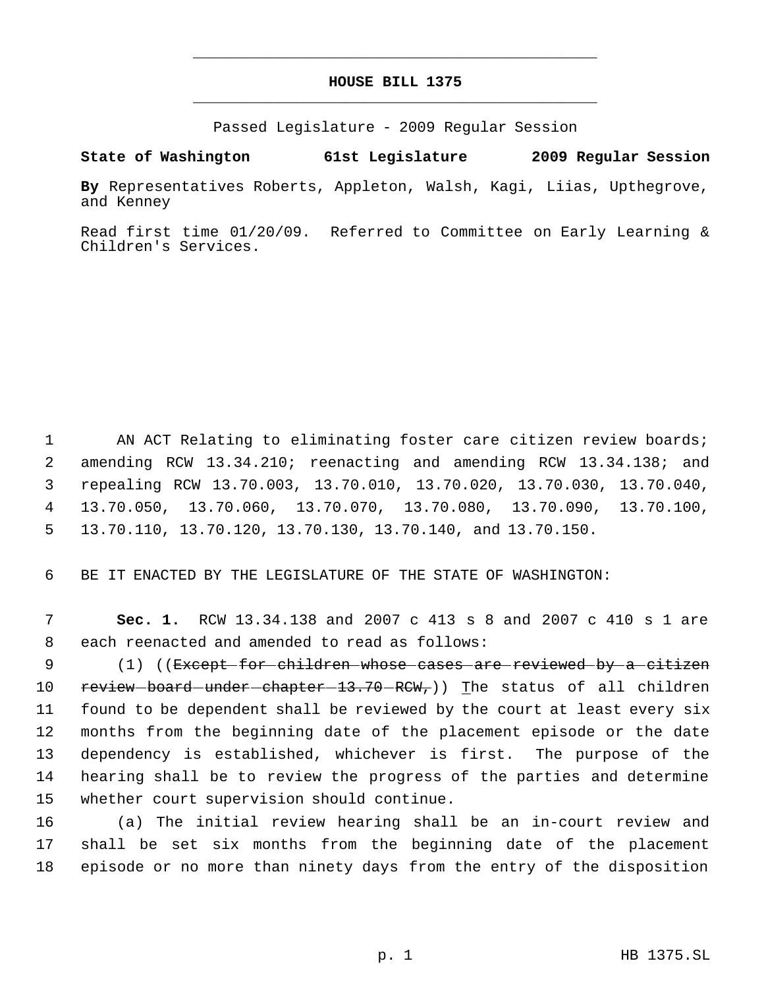## **HOUSE BILL 1375** \_\_\_\_\_\_\_\_\_\_\_\_\_\_\_\_\_\_\_\_\_\_\_\_\_\_\_\_\_\_\_\_\_\_\_\_\_\_\_\_\_\_\_\_\_

\_\_\_\_\_\_\_\_\_\_\_\_\_\_\_\_\_\_\_\_\_\_\_\_\_\_\_\_\_\_\_\_\_\_\_\_\_\_\_\_\_\_\_\_\_

Passed Legislature - 2009 Regular Session

**State of Washington 61st Legislature 2009 Regular Session**

**By** Representatives Roberts, Appleton, Walsh, Kagi, Liias, Upthegrove, and Kenney

Read first time 01/20/09. Referred to Committee on Early Learning & Children's Services.

1 AN ACT Relating to eliminating foster care citizen review boards; amending RCW 13.34.210; reenacting and amending RCW 13.34.138; and repealing RCW 13.70.003, 13.70.010, 13.70.020, 13.70.030, 13.70.040, 13.70.050, 13.70.060, 13.70.070, 13.70.080, 13.70.090, 13.70.100, 13.70.110, 13.70.120, 13.70.130, 13.70.140, and 13.70.150.

6 BE IT ENACTED BY THE LEGISLATURE OF THE STATE OF WASHINGTON:

 7 **Sec. 1.** RCW 13.34.138 and 2007 c 413 s 8 and 2007 c 410 s 1 are 8 each reenacted and amended to read as follows:

9 (1) ((<del>Except for children whose cases are reviewed by a citizen</del> 10 review board under chapter 13.70 RCW, Ine status of all children found to be dependent shall be reviewed by the court at least every six months from the beginning date of the placement episode or the date dependency is established, whichever is first. The purpose of the hearing shall be to review the progress of the parties and determine whether court supervision should continue.

16 (a) The initial review hearing shall be an in-court review and 17 shall be set six months from the beginning date of the placement 18 episode or no more than ninety days from the entry of the disposition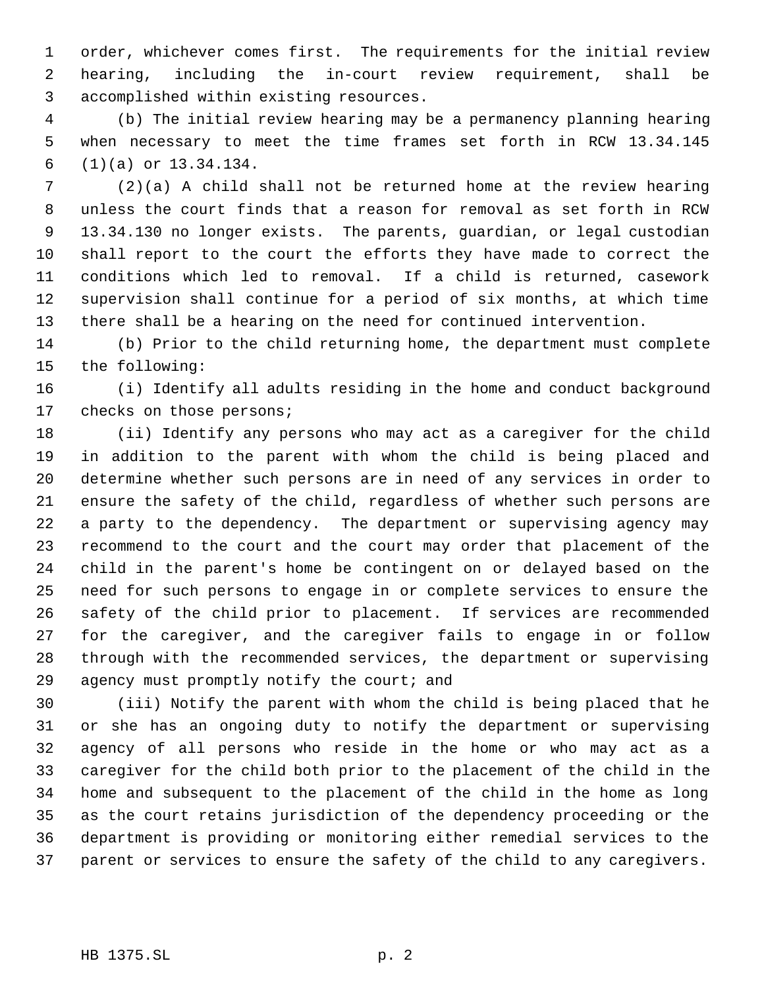order, whichever comes first. The requirements for the initial review hearing, including the in-court review requirement, shall be accomplished within existing resources.

 (b) The initial review hearing may be a permanency planning hearing when necessary to meet the time frames set forth in RCW 13.34.145 (1)(a) or 13.34.134.

 (2)(a) A child shall not be returned home at the review hearing unless the court finds that a reason for removal as set forth in RCW 13.34.130 no longer exists. The parents, guardian, or legal custodian shall report to the court the efforts they have made to correct the conditions which led to removal. If a child is returned, casework supervision shall continue for a period of six months, at which time there shall be a hearing on the need for continued intervention.

 (b) Prior to the child returning home, the department must complete the following:

 (i) Identify all adults residing in the home and conduct background 17 checks on those persons;

 (ii) Identify any persons who may act as a caregiver for the child in addition to the parent with whom the child is being placed and determine whether such persons are in need of any services in order to ensure the safety of the child, regardless of whether such persons are a party to the dependency. The department or supervising agency may recommend to the court and the court may order that placement of the child in the parent's home be contingent on or delayed based on the need for such persons to engage in or complete services to ensure the safety of the child prior to placement. If services are recommended for the caregiver, and the caregiver fails to engage in or follow through with the recommended services, the department or supervising agency must promptly notify the court; and

 (iii) Notify the parent with whom the child is being placed that he or she has an ongoing duty to notify the department or supervising agency of all persons who reside in the home or who may act as a caregiver for the child both prior to the placement of the child in the home and subsequent to the placement of the child in the home as long as the court retains jurisdiction of the dependency proceeding or the department is providing or monitoring either remedial services to the parent or services to ensure the safety of the child to any caregivers.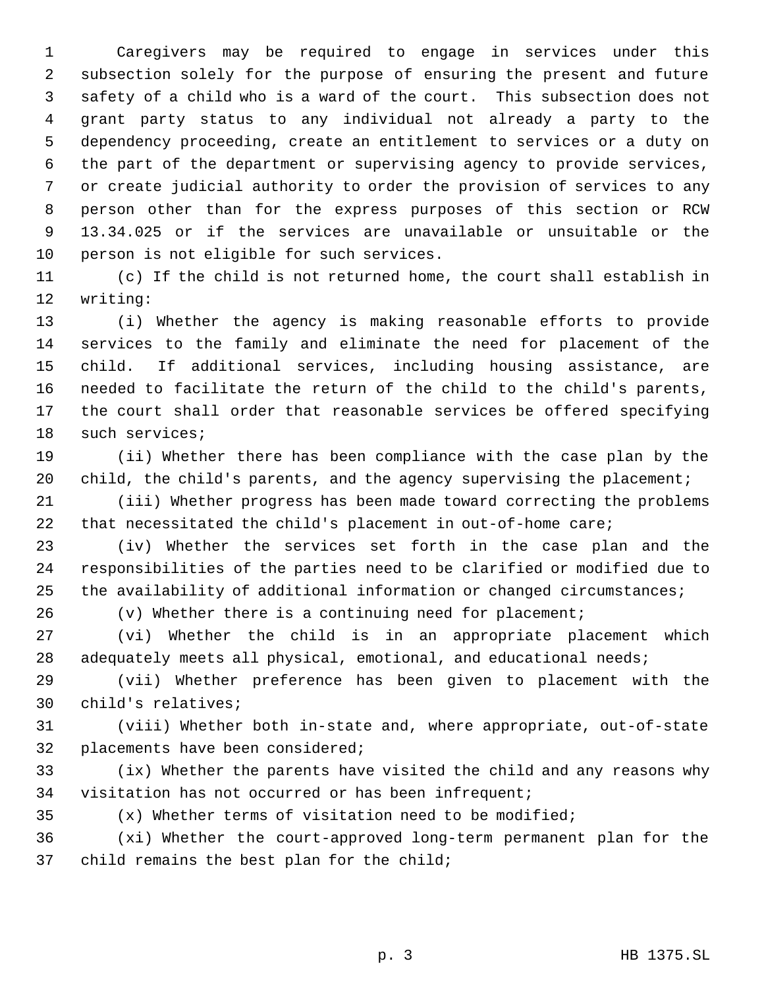Caregivers may be required to engage in services under this subsection solely for the purpose of ensuring the present and future safety of a child who is a ward of the court. This subsection does not grant party status to any individual not already a party to the dependency proceeding, create an entitlement to services or a duty on the part of the department or supervising agency to provide services, or create judicial authority to order the provision of services to any person other than for the express purposes of this section or RCW 13.34.025 or if the services are unavailable or unsuitable or the person is not eligible for such services.

 (c) If the child is not returned home, the court shall establish in writing:

 (i) Whether the agency is making reasonable efforts to provide services to the family and eliminate the need for placement of the child. If additional services, including housing assistance, are needed to facilitate the return of the child to the child's parents, the court shall order that reasonable services be offered specifying such services;

 (ii) Whether there has been compliance with the case plan by the child, the child's parents, and the agency supervising the placement;

 (iii) Whether progress has been made toward correcting the problems that necessitated the child's placement in out-of-home care;

 (iv) Whether the services set forth in the case plan and the responsibilities of the parties need to be clarified or modified due to the availability of additional information or changed circumstances;

(v) Whether there is a continuing need for placement;

 (vi) Whether the child is in an appropriate placement which 28 adequately meets all physical, emotional, and educational needs;

 (vii) Whether preference has been given to placement with the child's relatives;

 (viii) Whether both in-state and, where appropriate, out-of-state placements have been considered;

 (ix) Whether the parents have visited the child and any reasons why visitation has not occurred or has been infrequent;

(x) Whether terms of visitation need to be modified;

 (xi) Whether the court-approved long-term permanent plan for the child remains the best plan for the child;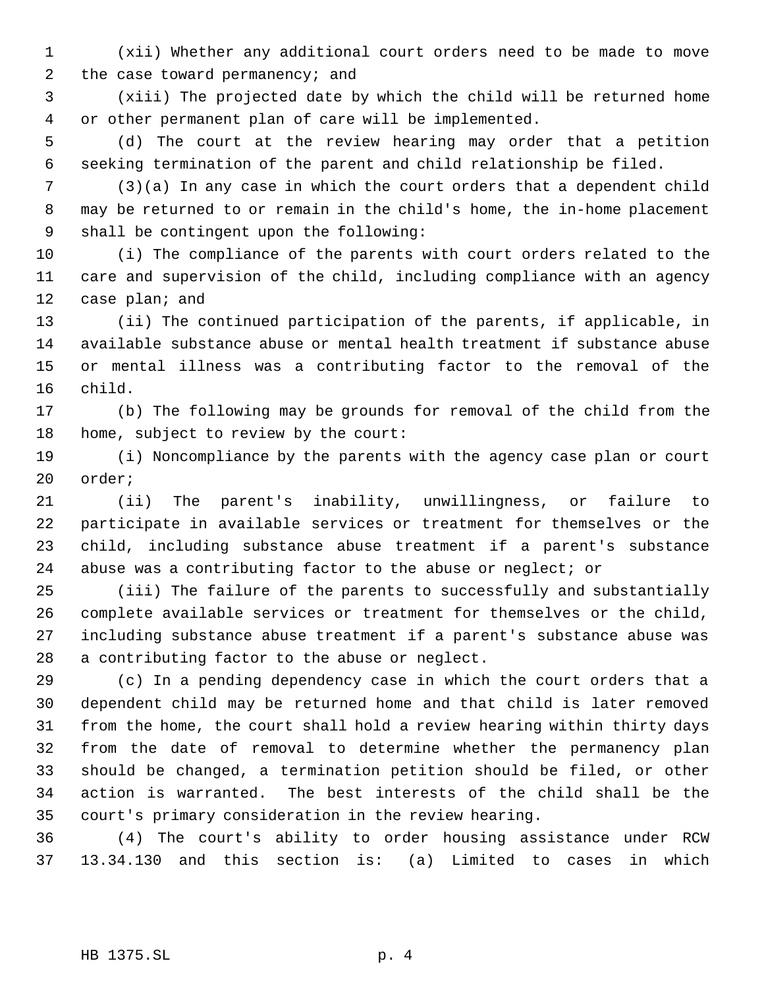(xii) Whether any additional court orders need to be made to move the case toward permanency; and

 (xiii) The projected date by which the child will be returned home or other permanent plan of care will be implemented.

 (d) The court at the review hearing may order that a petition seeking termination of the parent and child relationship be filed.

 (3)(a) In any case in which the court orders that a dependent child may be returned to or remain in the child's home, the in-home placement shall be contingent upon the following:

 (i) The compliance of the parents with court orders related to the care and supervision of the child, including compliance with an agency 12 case plan; and

 (ii) The continued participation of the parents, if applicable, in available substance abuse or mental health treatment if substance abuse or mental illness was a contributing factor to the removal of the child.

 (b) The following may be grounds for removal of the child from the home, subject to review by the court:

 (i) Noncompliance by the parents with the agency case plan or court order;

 (ii) The parent's inability, unwillingness, or failure to participate in available services or treatment for themselves or the child, including substance abuse treatment if a parent's substance abuse was a contributing factor to the abuse or neglect; or

 (iii) The failure of the parents to successfully and substantially complete available services or treatment for themselves or the child, including substance abuse treatment if a parent's substance abuse was a contributing factor to the abuse or neglect.

 (c) In a pending dependency case in which the court orders that a dependent child may be returned home and that child is later removed from the home, the court shall hold a review hearing within thirty days from the date of removal to determine whether the permanency plan should be changed, a termination petition should be filed, or other action is warranted. The best interests of the child shall be the court's primary consideration in the review hearing.

 (4) The court's ability to order housing assistance under RCW 13.34.130 and this section is: (a) Limited to cases in which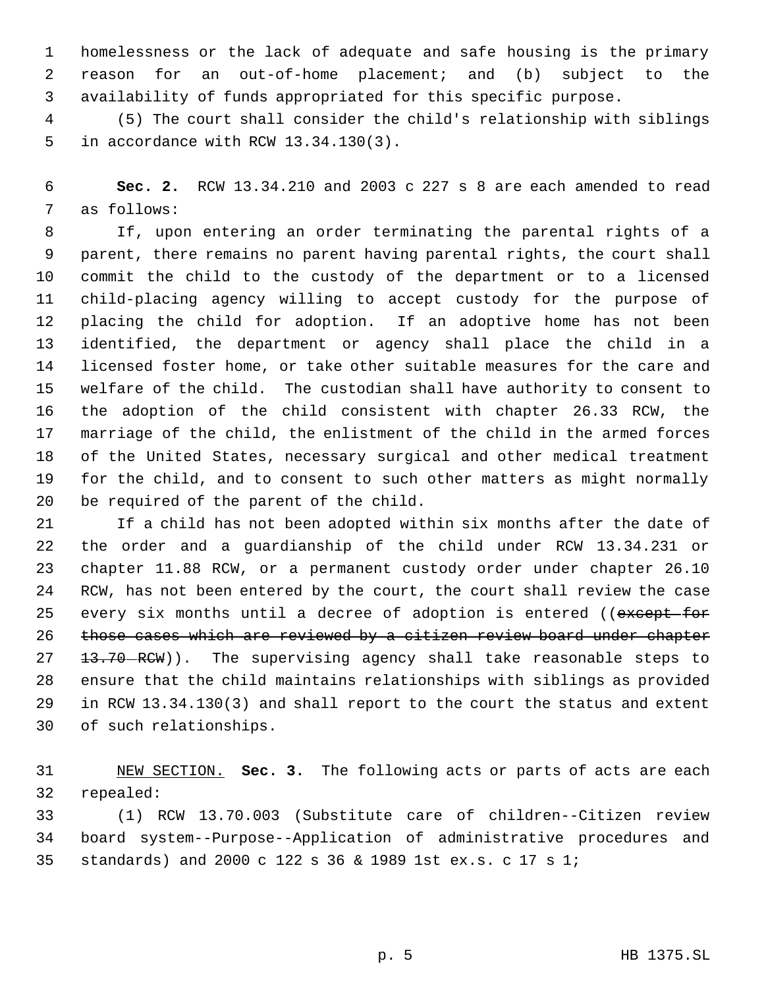homelessness or the lack of adequate and safe housing is the primary reason for an out-of-home placement; and (b) subject to the availability of funds appropriated for this specific purpose.

 (5) The court shall consider the child's relationship with siblings in accordance with RCW 13.34.130(3).

 **Sec. 2.** RCW 13.34.210 and 2003 c 227 s 8 are each amended to read as follows:

 If, upon entering an order terminating the parental rights of a parent, there remains no parent having parental rights, the court shall commit the child to the custody of the department or to a licensed child-placing agency willing to accept custody for the purpose of placing the child for adoption. If an adoptive home has not been identified, the department or agency shall place the child in a licensed foster home, or take other suitable measures for the care and welfare of the child. The custodian shall have authority to consent to the adoption of the child consistent with chapter 26.33 RCW, the marriage of the child, the enlistment of the child in the armed forces of the United States, necessary surgical and other medical treatment for the child, and to consent to such other matters as might normally be required of the parent of the child.

 If a child has not been adopted within six months after the date of the order and a guardianship of the child under RCW 13.34.231 or chapter 11.88 RCW, or a permanent custody order under chapter 26.10 RCW, has not been entered by the court, the court shall review the case 25 every six months until a decree of adoption is entered ((except for 26 those cases which are reviewed by a citizen review board under chapter 27 13.70 RCW)). The supervising agency shall take reasonable steps to ensure that the child maintains relationships with siblings as provided in RCW 13.34.130(3) and shall report to the court the status and extent of such relationships.

 NEW SECTION. **Sec. 3.** The following acts or parts of acts are each repealed:

 (1) RCW 13.70.003 (Substitute care of children--Citizen review board system--Purpose--Application of administrative procedures and standards) and 2000 c 122 s 36 & 1989 1st ex.s. c 17 s 1;